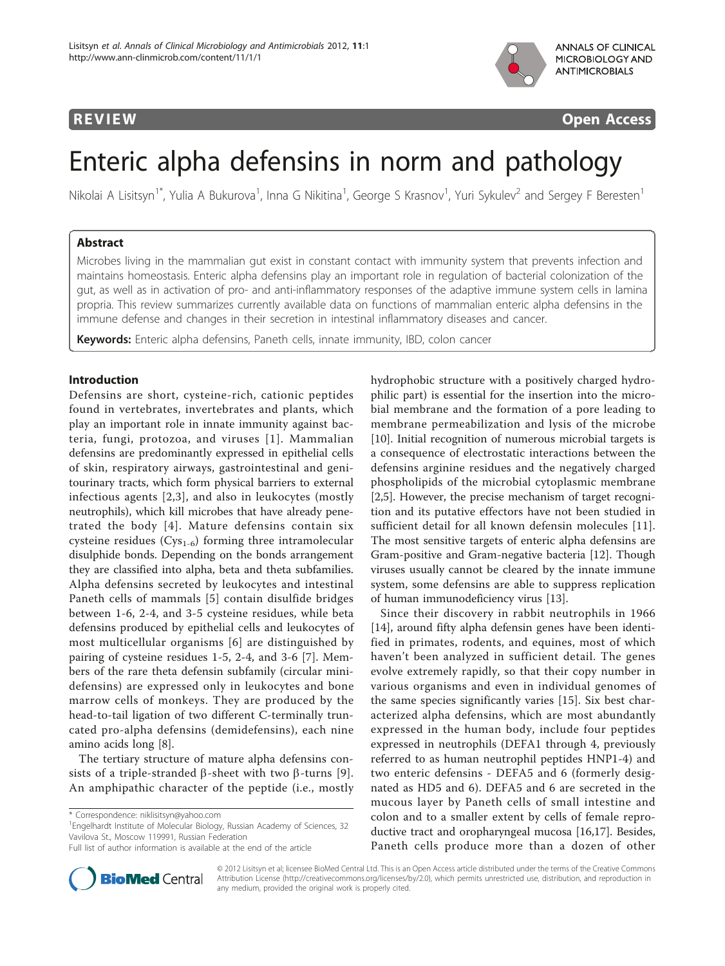

**REVIEW CONSIDERING CONSIDERING CONSIDERING CONSIDERING CONSIDERING CONSIDERING CONSIDERING CONSIDERING CONSIDERING CONSIDERING CONSIDERING CONSIDERING CONSIDERING CONSIDERING CONSIDERING CONSIDERING CONSIDERING CONSIDER** 

# Enteric alpha defensins in norm and pathology

Nikolai A Lisitsyn<sup>1\*</sup>, Yulia A Bukurova<sup>1</sup>, Inna G Nikitina<sup>1</sup>, George S Krasnov<sup>1</sup>, Yuri Sykulev<sup>2</sup> and Sergey F Beresten<sup>1</sup>

# Abstract

Microbes living in the mammalian gut exist in constant contact with immunity system that prevents infection and maintains homeostasis. Enteric alpha defensins play an important role in regulation of bacterial colonization of the gut, as well as in activation of pro- and anti-inflammatory responses of the adaptive immune system cells in lamina propria. This review summarizes currently available data on functions of mammalian enteric alpha defensins in the immune defense and changes in their secretion in intestinal inflammatory diseases and cancer.

Keywords: Enteric alpha defensins, Paneth cells, innate immunity, IBD, colon cancer

# Introduction

Defensins are short, cysteine-rich, cationic peptides found in vertebrates, invertebrates and plants, which play an important role in innate immunity against bacteria, fungi, protozoa, and viruses [[1](#page-3-0)]. Mammalian defensins are predominantly expressed in epithelial cells of skin, respiratory airways, gastrointestinal and genitourinary tracts, which form physical barriers to external infectious agents [[2,3](#page-3-0)], and also in leukocytes (mostly neutrophils), which kill microbes that have already penetrated the body [[4\]](#page-3-0). Mature defensins contain six cysteine residues (Cys<sub>1-6</sub>) forming three intramolecular disulphide bonds. Depending on the bonds arrangement they are classified into alpha, beta and theta subfamilies. Alpha defensins secreted by leukocytes and intestinal Paneth cells of mammals [[5](#page-3-0)] contain disulfide bridges between 1-6, 2-4, and 3-5 cysteine residues, while beta defensins produced by epithelial cells and leukocytes of most multicellular organisms [[6](#page-3-0)] are distinguished by pairing of cysteine residues 1-5, 2-4, and 3-6 [\[7](#page-3-0)]. Members of the rare theta defensin subfamily (circular minidefensins) are expressed only in leukocytes and bone marrow cells of monkeys. They are produced by the head-to-tail ligation of two different C-terminally truncated pro-alpha defensins (demidefensins), each nine amino acids long [\[8\]](#page-3-0).

The tertiary structure of mature alpha defensins consists of a triple-stranded  $\beta$ -sheet with two  $\beta$ -turns [[9\]](#page-3-0). An amphipathic character of the peptide (i.e., mostly

<sup>1</sup> Engelhardt Institute of Molecular Biology, Russian Academy of Sciences, 32 Vavilova St., Moscow 119991, Russian Federation

Full list of author information is available at the end of the article



hydrophobic structure with a positively charged hydrophilic part) is essential for the insertion into the microbial membrane and the formation of a pore leading to membrane permeabilization and lysis of the microbe [[10\]](#page-3-0). Initial recognition of numerous microbial targets is a consequence of electrostatic interactions between the defensins arginine residues and the negatively charged phospholipids of the microbial cytoplasmic membrane [[2,5\]](#page-3-0). However, the precise mechanism of target recognition and its putative effectors have not been studied in sufficient detail for all known defensin molecules [[11](#page-3-0)]. The most sensitive targets of enteric alpha defensins are Gram-positive and Gram-negative bacteria [[12\]](#page-3-0). Though viruses usually cannot be cleared by the innate immune system, some defensins are able to suppress replication of human immunodeficiency virus [[13\]](#page-3-0).

Since their discovery in rabbit neutrophils in 1966 [[14\]](#page-3-0), around fifty alpha defensin genes have been identified in primates, rodents, and equines, most of which haven't been analyzed in sufficient detail. The genes evolve extremely rapidly, so that their copy number in various organisms and even in individual genomes of the same species significantly varies [[15\]](#page-3-0). Six best characterized alpha defensins, which are most abundantly expressed in the human body, include four peptides expressed in neutrophils (DEFA1 through 4, previously referred to as human neutrophil peptides HNP1-4) and two enteric defensins - DEFA5 and 6 (formerly designated as HD5 and 6). DEFA5 and 6 are secreted in the mucous layer by Paneth cells of small intestine and colon and to a smaller extent by cells of female reproductive tract and oropharyngeal mucosa [\[16,17](#page-4-0)]. Besides, Paneth cells produce more than a dozen of other

© 2012 Lisitsyn et al; licensee BioMed Central Ltd. This is an Open Access article distributed under the terms of the Creative Commons Attribution License [\(http://creativecommons.org/licenses/by/2.0](http://creativecommons.org/licenses/by/2.0)), which permits unrestricted use, distribution, and reproduction in any medium, provided the original work is properly cited.

<sup>\*</sup> Correspondence: [niklisitsyn@yahoo.com](mailto:niklisitsyn@yahoo.com)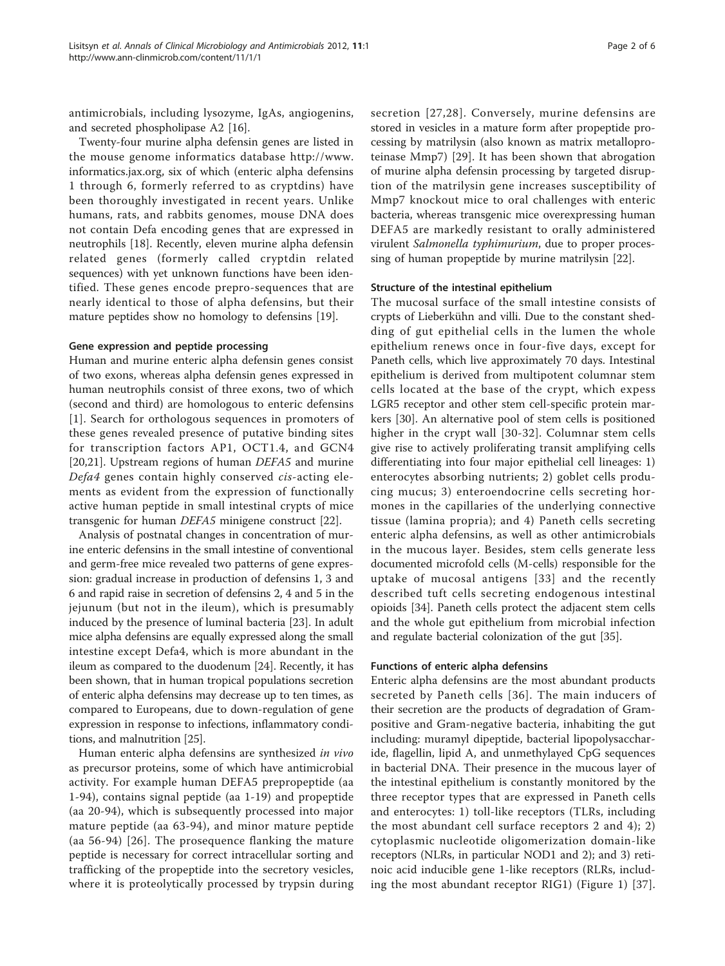antimicrobials, including lysozyme, IgAs, angiogenins, and secreted phospholipase A2 [\[16](#page-4-0)].

Twenty-four murine alpha defensin genes are listed in the mouse genome informatics database [http://www.](http://www.informatics.jax.org) [informatics.jax.org,](http://www.informatics.jax.org) six of which (enteric alpha defensins 1 through 6, formerly referred to as cryptdins) have been thoroughly investigated in recent years. Unlike humans, rats, and rabbits genomes, mouse DNA does not contain Defa encoding genes that are expressed in neutrophils [[18\]](#page-4-0). Recently, eleven murine alpha defensin related genes (formerly called cryptdin related sequences) with yet unknown functions have been identified. These genes encode prepro-sequences that are nearly identical to those of alpha defensins, but their mature peptides show no homology to defensins [[19\]](#page-4-0).

#### Gene expression and peptide processing

Human and murine enteric alpha defensin genes consist of two exons, whereas alpha defensin genes expressed in human neutrophils consist of three exons, two of which (second and third) are homologous to enteric defensins [[1](#page-3-0)]. Search for orthologous sequences in promoters of these genes revealed presence of putative binding sites for transcription factors AP1, OCT1.4, and GCN4 [[20,21\]](#page-4-0). Upstream regions of human DEFA5 and murine Defa4 genes contain highly conserved cis-acting elements as evident from the expression of functionally active human peptide in small intestinal crypts of mice transgenic for human DEFA5 minigene construct [[22\]](#page-4-0).

Analysis of postnatal changes in concentration of murine enteric defensins in the small intestine of conventional and germ-free mice revealed two patterns of gene expression: gradual increase in production of defensins 1, 3 and 6 and rapid raise in secretion of defensins 2, 4 and 5 in the jejunum (but not in the ileum), which is presumably induced by the presence of luminal bacteria [[23](#page-4-0)]. In adult mice alpha defensins are equally expressed along the small intestine except Defa4, which is more abundant in the ileum as compared to the duodenum [[24\]](#page-4-0). Recently, it has been shown, that in human tropical populations secretion of enteric alpha defensins may decrease up to ten times, as compared to Europeans, due to down-regulation of gene expression in response to infections, inflammatory conditions, and malnutrition [\[25\]](#page-4-0).

Human enteric alpha defensins are synthesized in vivo as precursor proteins, some of which have antimicrobial activity. For example human DEFA5 prepropeptide (aa 1-94), contains signal peptide (aa 1-19) and propeptide (aa 20-94), which is subsequently processed into major mature peptide (aa 63-94), and minor mature peptide (aa 56-94) [[26\]](#page-4-0). The prosequence flanking the mature peptide is necessary for correct intracellular sorting and trafficking of the propeptide into the secretory vesicles, where it is proteolytically processed by trypsin during secretion [[27,28](#page-4-0)]. Conversely, murine defensins are stored in vesicles in a mature form after propeptide processing by matrilysin (also known as matrix metalloproteinase Mmp7) [[29\]](#page-4-0). It has been shown that abrogation of murine alpha defensin processing by targeted disruption of the matrilysin gene increases susceptibility of Mmp7 knockout mice to oral challenges with enteric bacteria, whereas transgenic mice overexpressing human DEFA5 are markedly resistant to orally administered virulent Salmonella typhimurium, due to proper processing of human propeptide by murine matrilysin [[22](#page-4-0)].

### Structure of the intestinal epithelium

The mucosal surface of the small intestine consists of crypts of Lieberkühn and villi. Due to the constant shedding of gut epithelial cells in the lumen the whole epithelium renews once in four-five days, except for Paneth cells, which live approximately 70 days. Intestinal epithelium is derived from multipotent columnar stem cells located at the base of the crypt, which expess LGR5 receptor and other stem cell-specific protein markers [\[30](#page-4-0)]. An alternative pool of stem cells is positioned higher in the crypt wall [[30-32\]](#page-4-0). Columnar stem cells give rise to actively proliferating transit amplifying cells differentiating into four major epithelial cell lineages: 1) enterocytes absorbing nutrients; 2) goblet cells producing mucus; 3) enteroendocrine cells secreting hormones in the capillaries of the underlying connective tissue (lamina propria); and 4) Paneth cells secreting enteric alpha defensins, as well as other antimicrobials in the mucous layer. Besides, stem cells generate less documented microfold cells (M-cells) responsible for the uptake of mucosal antigens [\[33](#page-4-0)] and the recently described tuft cells secreting endogenous intestinal opioids [[34\]](#page-4-0). Paneth cells protect the adjacent stem cells and the whole gut epithelium from microbial infection and regulate bacterial colonization of the gut [\[35\]](#page-4-0).

#### Functions of enteric alpha defensins

Enteric alpha defensins are the most abundant products secreted by Paneth cells [[36](#page-4-0)]. The main inducers of their secretion are the products of degradation of Grampositive and Gram-negative bacteria, inhabiting the gut including: muramyl dipeptide, bacterial lipopolysaccharide, flagellin, lipid A, and unmethylayed CpG sequences in bacterial DNA. Their presence in the mucous layer of the intestinal epithelium is constantly monitored by the three receptor types that are expressed in Paneth cells and enterocytes: 1) toll-like receptors (TLRs, including the most abundant cell surface receptors 2 and 4); 2) cytoplasmic nucleotide oligomerization domain-like receptors (NLRs, in particular NOD1 and 2); and 3) retinoic acid inducible gene 1-like receptors (RLRs, including the most abundant receptor RIG1) (Figure [1\)](#page-2-0) [[37](#page-4-0)].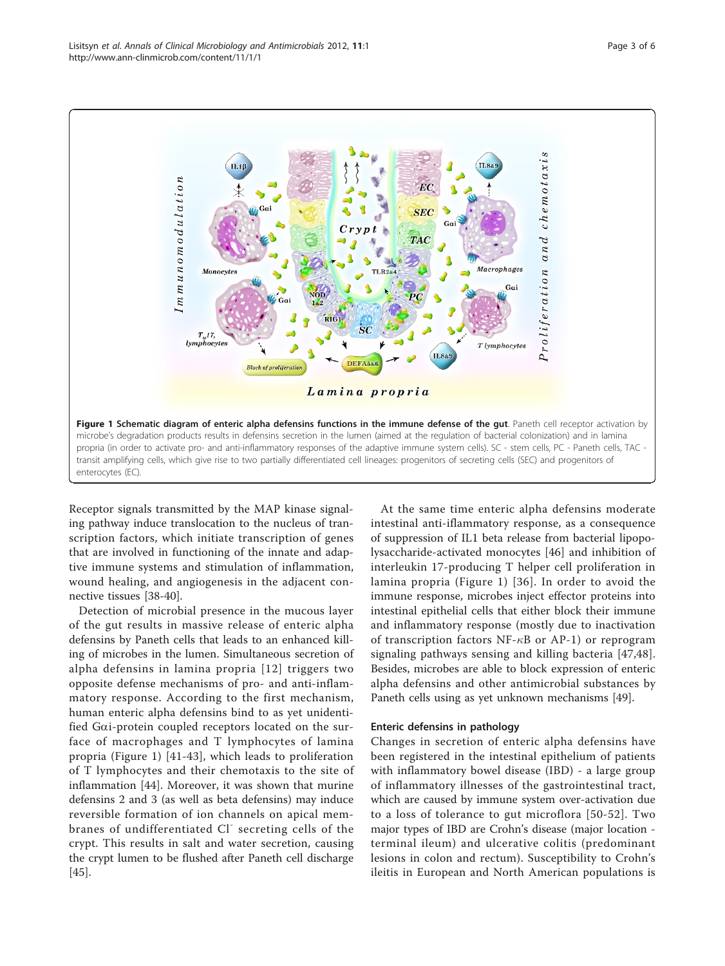<span id="page-2-0"></span>

Receptor signals transmitted by the MAP kinase signaling pathway induce translocation to the nucleus of transcription factors, which initiate transcription of genes that are involved in functioning of the innate and adaptive immune systems and stimulation of inflammation, wound healing, and angiogenesis in the adjacent connective tissues [[38](#page-4-0)-[40\]](#page-4-0).

Detection of microbial presence in the mucous layer of the gut results in massive release of enteric alpha defensins by Paneth cells that leads to an enhanced killing of microbes in the lumen. Simultaneous secretion of alpha defensins in lamina propria [[12\]](#page-3-0) triggers two opposite defense mechanisms of pro- and anti-inflammatory response. According to the first mechanism, human enteric alpha defensins bind to as yet unidentified Gai-protein coupled receptors located on the surface of macrophages and T lymphocytes of lamina propria (Figure 1) [[41-43\]](#page-4-0), which leads to proliferation of T lymphocytes and their chemotaxis to the site of inflammation [[44\]](#page-4-0). Moreover, it was shown that murine defensins 2 and 3 (as well as beta defensins) may induce reversible formation of ion channels on apical membranes of undifferentiated Cl<sup>-</sup> secreting cells of the crypt. This results in salt and water secretion, causing the crypt lumen to be flushed after Paneth cell discharge [[45\]](#page-4-0).

At the same time enteric alpha defensins moderate intestinal anti-iflammatory response, as a consequence of suppression of IL1 beta release from bacterial lipopolysaccharide-activated monocytes [[46\]](#page-4-0) and inhibition of interleukin 17-producing T helper cell proliferation in lamina propria (Figure 1) [[36](#page-4-0)]. In order to avoid the immune response, microbes inject effector proteins into intestinal epithelial cells that either block their immune and inflammatory response (mostly due to inactivation of transcription factors NF- $\kappa$ B or AP-1) or reprogram signaling pathways sensing and killing bacteria [[47,48](#page-4-0)]. Besides, microbes are able to block expression of enteric alpha defensins and other antimicrobial substances by Paneth cells using as yet unknown mechanisms [\[49](#page-4-0)].

## Enteric defensins in pathology

Changes in secretion of enteric alpha defensins have been registered in the intestinal epithelium of patients with inflammatory bowel disease (IBD) - a large group of inflammatory illnesses of the gastrointestinal tract, which are caused by immune system over-activation due to a loss of tolerance to gut microflora [[50-52\]](#page-4-0). Two major types of IBD are Crohn's disease (major location terminal ileum) and ulcerative colitis (predominant lesions in colon and rectum). Susceptibility to Crohn's ileitis in European and North American populations is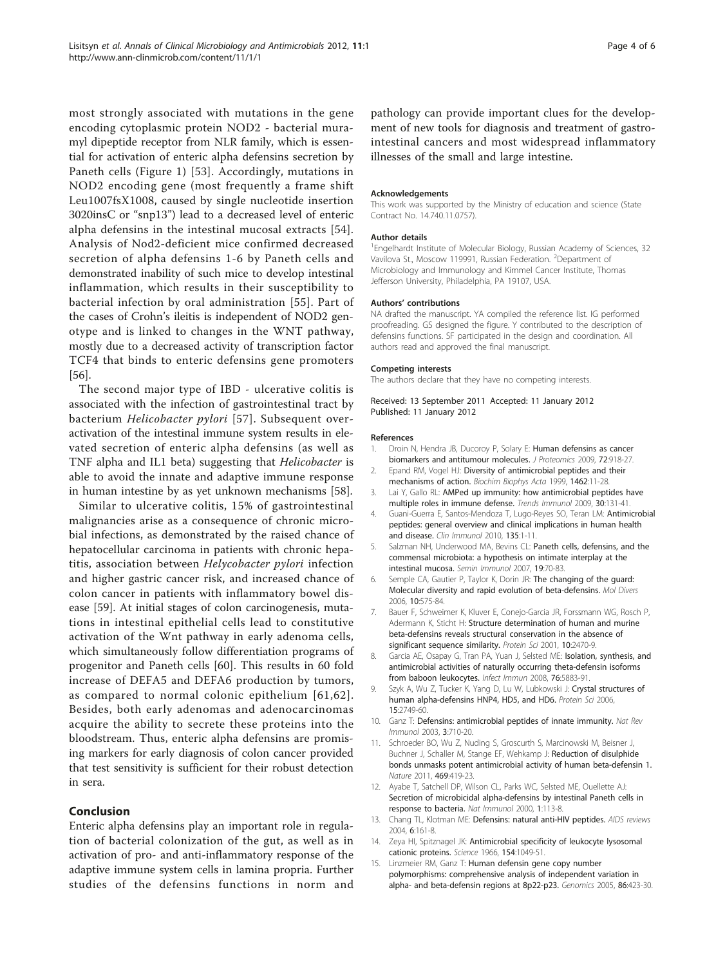<span id="page-3-0"></span>most strongly associated with mutations in the gene encoding cytoplasmic protein NOD2 - bacterial muramyl dipeptide receptor from NLR family, which is essential for activation of enteric alpha defensins secretion by Paneth cells (Figure [1\)](#page-2-0) [[53](#page-4-0)]. Accordingly, mutations in NOD2 encoding gene (most frequently a frame shift Leu1007fsX1008, caused by single nucleotide insertion 3020insC or "snp13") lead to a decreased level of enteric alpha defensins in the intestinal mucosal extracts [[54](#page-4-0)]. Analysis of Nod2-deficient mice confirmed decreased secretion of alpha defensins 1-6 by Paneth cells and demonstrated inability of such mice to develop intestinal inflammation, which results in their susceptibility to bacterial infection by oral administration [[55\]](#page-4-0). Part of the cases of Crohn's ileitis is independent of NOD2 genotype and is linked to changes in the WNT pathway, mostly due to a decreased activity of transcription factor TCF4 that binds to enteric defensins gene promoters [[56\]](#page-4-0).

The second major type of IBD - ulcerative colitis is associated with the infection of gastrointestinal tract by bacterium Helicobacter pylori [[57\]](#page-4-0). Subsequent overactivation of the intestinal immune system results in elevated secretion of enteric alpha defensins (as well as TNF alpha and IL1 beta) suggesting that Helicobacter is able to avoid the innate and adaptive immune response in human intestine by as yet unknown mechanisms [[58\]](#page-4-0).

Similar to ulcerative colitis, 15% of gastrointestinal malignancies arise as a consequence of chronic microbial infections, as demonstrated by the raised chance of hepatocellular carcinoma in patients with chronic hepatitis, association between Helycobacter pylori infection and higher gastric cancer risk, and increased chance of colon cancer in patients with inflammatory bowel disease [[59\]](#page-4-0). At initial stages of colon carcinogenesis, mutations in intestinal epithelial cells lead to constitutive activation of the Wnt pathway in early adenoma cells, which simultaneously follow differentiation programs of progenitor and Paneth cells [[60\]](#page-4-0). This results in 60 fold increase of DEFA5 and DEFA6 production by tumors, as compared to normal colonic epithelium [[61](#page-5-0),[62\]](#page-5-0). Besides, both early adenomas and adenocarcinomas acquire the ability to secrete these proteins into the bloodstream. Thus, enteric alpha defensins are promising markers for early diagnosis of colon cancer provided that test sensitivity is sufficient for their robust detection in sera.

# Conclusion

Enteric alpha defensins play an important role in regulation of bacterial colonization of the gut, as well as in activation of pro- and anti-inflammatory response of the adaptive immune system cells in lamina propria. Further studies of the defensins functions in norm and pathology can provide important clues for the development of new tools for diagnosis and treatment of gastrointestinal cancers and most widespread inflammatory illnesses of the small and large intestine.

#### Acknowledgements

This work was supported by the Ministry of education and science (State Contract No. 14.740.11.0757).

#### Author details

<sup>1</sup> Engelhardt Institute of Molecular Biology, Russian Academy of Sciences, 32 Vavilova St., Moscow 119991, Russian Federation. <sup>2</sup>Department of Microbiology and Immunology and Kimmel Cancer Institute, Thomas Jefferson University, Philadelphia, PA 19107, USA.

#### Authors' contributions

NA drafted the manuscript. YA compiled the reference list. IG performed proofreading. GS designed the figure. Y contributed to the description of defensins functions. SF participated in the design and coordination. All authors read and approved the final manuscript.

#### Competing interests

The authors declare that they have no competing interests.

Received: 13 September 2011 Accepted: 11 January 2012 Published: 11 January 2012

#### References

- 1. Droin N, Hendra JB, Ducoroy P, Solary E: [Human defensins as cancer](http://www.ncbi.nlm.nih.gov/pubmed/19186224?dopt=Abstract) [biomarkers and antitumour molecules.](http://www.ncbi.nlm.nih.gov/pubmed/19186224?dopt=Abstract) J Proteomics 2009, 72:918-27.
- 2. Epand RM, Vogel HJ: [Diversity of antimicrobial peptides and their](http://www.ncbi.nlm.nih.gov/pubmed/10590300?dopt=Abstract) [mechanisms of action.](http://www.ncbi.nlm.nih.gov/pubmed/10590300?dopt=Abstract) Biochim Biophys Acta 1999, 1462:11-28.
- 3. Lai Y, Gallo RL: [AMPed up immunity: how antimicrobial peptides have](http://www.ncbi.nlm.nih.gov/pubmed/19217824?dopt=Abstract) [multiple roles in immune defense.](http://www.ncbi.nlm.nih.gov/pubmed/19217824?dopt=Abstract) Trends Immunol 2009, 30:131-41.
- 4. Guani-Guerra E, Santos-Mendoza T, Lugo-Reyes SO, Teran LM: [Antimicrobial](http://www.ncbi.nlm.nih.gov/pubmed/20116332?dopt=Abstract) [peptides: general overview and clinical implications in human health](http://www.ncbi.nlm.nih.gov/pubmed/20116332?dopt=Abstract) [and disease.](http://www.ncbi.nlm.nih.gov/pubmed/20116332?dopt=Abstract) Clin Immunol 2010, 135:1-11.
- Salzman NH, Underwood MA, Bevins CL: [Paneth cells, defensins, and the](http://www.ncbi.nlm.nih.gov/pubmed/17485224?dopt=Abstract) [commensal microbiota: a hypothesis on intimate interplay at the](http://www.ncbi.nlm.nih.gov/pubmed/17485224?dopt=Abstract) [intestinal mucosa.](http://www.ncbi.nlm.nih.gov/pubmed/17485224?dopt=Abstract) Semin Immunol 2007, 19:70-83.
- 6. Semple CA, Gautier P, Taylor K, Dorin JR: [The changing of the guard:](http://www.ncbi.nlm.nih.gov/pubmed/16969721?dopt=Abstract) [Molecular diversity and rapid evolution of beta-defensins.](http://www.ncbi.nlm.nih.gov/pubmed/16969721?dopt=Abstract) Mol Divers 2006, 10:575-84.
- 7. Bauer F, Schweimer K, Kluver E, Conejo-Garcia JR, Forssmann WG, Rosch P, Adermann K, Sticht H: [Structure determination of human and murine](http://www.ncbi.nlm.nih.gov/pubmed/11714914?dopt=Abstract) [beta-defensins reveals structural conservation in the absence of](http://www.ncbi.nlm.nih.gov/pubmed/11714914?dopt=Abstract) [significant sequence similarity.](http://www.ncbi.nlm.nih.gov/pubmed/11714914?dopt=Abstract) Protein Sci 2001, 10:2470-9.
- 8. Garcia AE, Osapay G, Tran PA, Yuan J, Selsted ME: [Isolation, synthesis, and](http://www.ncbi.nlm.nih.gov/pubmed/18852242?dopt=Abstract) [antimicrobial activities of naturally occurring theta-defensin isoforms](http://www.ncbi.nlm.nih.gov/pubmed/18852242?dopt=Abstract) [from baboon leukocytes.](http://www.ncbi.nlm.nih.gov/pubmed/18852242?dopt=Abstract) Infect Immun 2008, 76:5883-91.
- 9. Szyk A, Wu Z, Tucker K, Yang D, Lu W, Lubkowski J: [Crystal structures of](http://www.ncbi.nlm.nih.gov/pubmed/17088326?dopt=Abstract) [human alpha-defensins HNP4, HD5, and HD6.](http://www.ncbi.nlm.nih.gov/pubmed/17088326?dopt=Abstract) Protein Sci 2006, 15:2749-60.
- 10. Ganz T: [Defensins: antimicrobial peptides of innate immunity.](http://www.ncbi.nlm.nih.gov/pubmed/12949495?dopt=Abstract) Nat Rev Immunol 2003, 3:710-20.
- 11. Schroeder BO, Wu Z, Nuding S, Groscurth S, Marcinowski M, Beisner J, Buchner J, Schaller M, Stange EF, Wehkamp J: [Reduction of disulphide](http://www.ncbi.nlm.nih.gov/pubmed/21248850?dopt=Abstract) [bonds unmasks potent antimicrobial activity of human beta-defensin 1.](http://www.ncbi.nlm.nih.gov/pubmed/21248850?dopt=Abstract) Nature 2011, 469:419-23.
- 12. Ayabe T, Satchell DP, Wilson CL, Parks WC, Selsted ME, Ouellette AJ: [Secretion of microbicidal alpha-defensins by intestinal Paneth cells in](http://www.ncbi.nlm.nih.gov/pubmed/11248802?dopt=Abstract) [response to bacteria.](http://www.ncbi.nlm.nih.gov/pubmed/11248802?dopt=Abstract) Nat Immunol 2000, 1:113-8.
- 13. Chang TL, Klotman ME: [Defensins: natural anti-HIV peptides.](http://www.ncbi.nlm.nih.gov/pubmed/15595433?dopt=Abstract) AIDS reviews 2004, 6:161-8.
- 14. Zeya HI, Spitznagel JK: [Antimicrobial specificity of leukocyte lysosomal](http://www.ncbi.nlm.nih.gov/pubmed/4958495?dopt=Abstract) [cationic proteins.](http://www.ncbi.nlm.nih.gov/pubmed/4958495?dopt=Abstract) Science 1966, 154:1049-51.
- 15. Linzmeier RM, Ganz T: [Human defensin gene copy number](http://www.ncbi.nlm.nih.gov/pubmed/16039093?dopt=Abstract) [polymorphisms: comprehensive analysis of independent variation in](http://www.ncbi.nlm.nih.gov/pubmed/16039093?dopt=Abstract) alpha- [and beta-defensin regions at 8p22-p23.](http://www.ncbi.nlm.nih.gov/pubmed/16039093?dopt=Abstract) Genomics 2005, 86:423-30.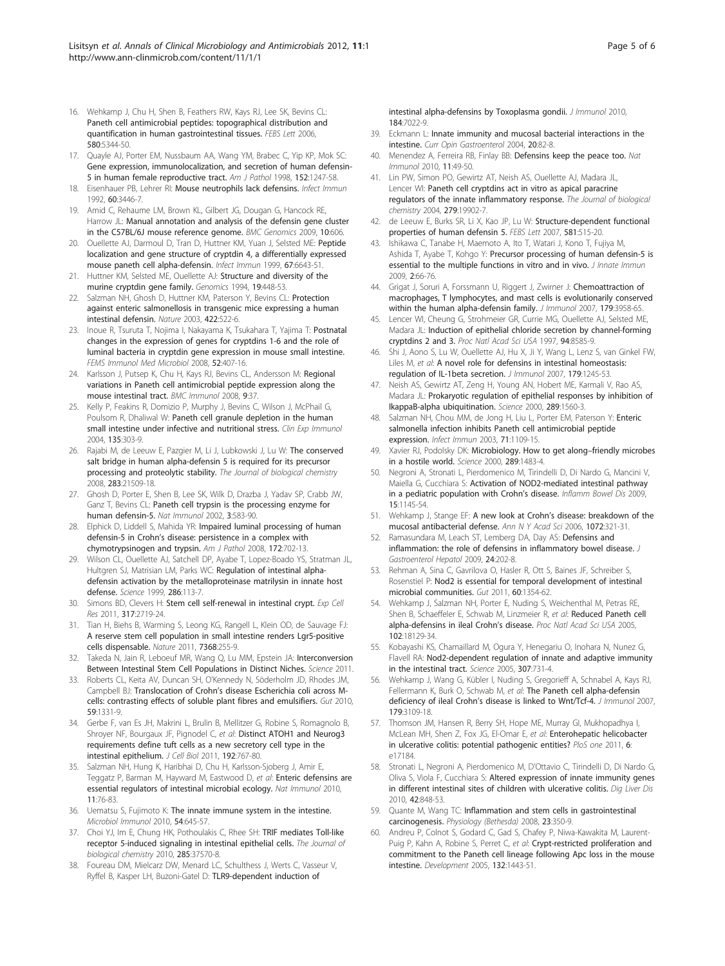- <span id="page-4-0"></span>17. Quayle AJ, Porter EM, Nussbaum AA, Wang YM, Brabec C, Yip KP, Mok SC: [Gene expression, immunolocalization, and secretion of human defensin-](http://www.ncbi.nlm.nih.gov/pubmed/9588893?dopt=Abstract)[5 in human female reproductive tract.](http://www.ncbi.nlm.nih.gov/pubmed/9588893?dopt=Abstract) Am J Pathol 1998, 152:1247-58.
- 18. Eisenhauer PB, Lehrer RI: [Mouse neutrophils lack defensins.](http://www.ncbi.nlm.nih.gov/pubmed/1639513?dopt=Abstract) Infect Immun 1992, 60:3446-7.
- 19. Amid C, Rehaume LM, Brown KL, Gilbert JG, Dougan G, Hancock RE, Harrow JL: [Manual annotation and analysis of the defensin gene cluster](http://www.ncbi.nlm.nih.gov/pubmed/20003482?dopt=Abstract) [in the C57BL/6J mouse reference genome.](http://www.ncbi.nlm.nih.gov/pubmed/20003482?dopt=Abstract) BMC Genomics 2009, 10:606.
- 20. Ouellette AJ, Darmoul D, Tran D, Huttner KM, Yuan J, Selsted ME: [Peptide](http://www.ncbi.nlm.nih.gov/pubmed/10569786?dopt=Abstract) [localization and gene structure of cryptdin 4, a differentially expressed](http://www.ncbi.nlm.nih.gov/pubmed/10569786?dopt=Abstract) [mouse paneth cell alpha-defensin.](http://www.ncbi.nlm.nih.gov/pubmed/10569786?dopt=Abstract) Infect Immun 1999, 67:6643-51.
- 21. Huttner KM, Selsted ME, Ouellette AJ: [Structure and diversity of the](http://www.ncbi.nlm.nih.gov/pubmed/8188287?dopt=Abstract) [murine cryptdin gene family.](http://www.ncbi.nlm.nih.gov/pubmed/8188287?dopt=Abstract) Genomics 1994, 19:448-53.
- 22. Salzman NH, Ghosh D, Huttner KM, Paterson Y, Bevins CL: [Protection](http://www.ncbi.nlm.nih.gov/pubmed/12660734?dopt=Abstract) [against enteric salmonellosis in transgenic mice expressing a human](http://www.ncbi.nlm.nih.gov/pubmed/12660734?dopt=Abstract) [intestinal defensin.](http://www.ncbi.nlm.nih.gov/pubmed/12660734?dopt=Abstract) Nature 2003, 422:522-6.
- 23. Inoue R, Tsuruta T, Nojima I, Nakayama K, Tsukahara T, Yajima T: [Postnatal](http://www.ncbi.nlm.nih.gov/pubmed/18328077?dopt=Abstract) [changes in the expression of genes for cryptdins 1-6 and the role of](http://www.ncbi.nlm.nih.gov/pubmed/18328077?dopt=Abstract) [luminal bacteria in cryptdin gene expression in mouse small intestine.](http://www.ncbi.nlm.nih.gov/pubmed/18328077?dopt=Abstract) FEMS Immunol Med Microbiol 2008, 52:407-16.
- 24. Karlsson J, Putsep K, Chu H, Kays RJ, Bevins CL, Andersson M: [Regional](http://www.ncbi.nlm.nih.gov/pubmed/18637162?dopt=Abstract) [variations in Paneth cell antimicrobial peptide expression along the](http://www.ncbi.nlm.nih.gov/pubmed/18637162?dopt=Abstract) [mouse intestinal tract.](http://www.ncbi.nlm.nih.gov/pubmed/18637162?dopt=Abstract) BMC Immunol 2008, 9:37.
- 25. Kelly P, Feakins R, Domizio P, Murphy J, Bevins C, Wilson J, McPhail G, Poulsom R, Dhaliwal W: [Paneth cell granule depletion in the human](http://www.ncbi.nlm.nih.gov/pubmed/14738460?dopt=Abstract) [small intestine under infective and nutritional stress.](http://www.ncbi.nlm.nih.gov/pubmed/14738460?dopt=Abstract) Clin Exp Immunol 2004, 135:303-9.
- 26. Rajabi M, de Leeuw E, Pazgier M, Li J, Lubkowski J, Lu W: [The conserved](http://www.ncbi.nlm.nih.gov/pubmed/18499668?dopt=Abstract) [salt bridge in human alpha-defensin 5 is required for its precursor](http://www.ncbi.nlm.nih.gov/pubmed/18499668?dopt=Abstract) [processing and proteolytic stability.](http://www.ncbi.nlm.nih.gov/pubmed/18499668?dopt=Abstract) The Journal of biological chemistry 2008, 283:21509-18.
- 27. Ghosh D, Porter E, Shen B, Lee SK, Wilk D, Drazba J, Yadav SP, Crabb JW, Ganz T, Bevins CL: [Paneth cell trypsin is the processing enzyme for](http://www.ncbi.nlm.nih.gov/pubmed/12021776?dopt=Abstract) [human defensin-5.](http://www.ncbi.nlm.nih.gov/pubmed/12021776?dopt=Abstract) Nat Immunol 2002, 3:583-90.
- 28. Elphick D, Liddell S, Mahida YR: [Impaired luminal processing of human](http://www.ncbi.nlm.nih.gov/pubmed/18258845?dopt=Abstract) defensin-5 in Crohn'[s disease: persistence in a complex with](http://www.ncbi.nlm.nih.gov/pubmed/18258845?dopt=Abstract) [chymotrypsinogen and trypsin.](http://www.ncbi.nlm.nih.gov/pubmed/18258845?dopt=Abstract) Am J Pathol 2008, 172:702-13.
- 29. Wilson CL, Ouellette AJ, Satchell DP, Ayabe T, Lopez-Boado YS, Stratman JL, Hultgren SJ, Matrisian LM, Parks WC: [Regulation of intestinal alpha](http://www.ncbi.nlm.nih.gov/pubmed/10506557?dopt=Abstract)[defensin activation by the metalloproteinase matrilysin in innate host](http://www.ncbi.nlm.nih.gov/pubmed/10506557?dopt=Abstract) [defense.](http://www.ncbi.nlm.nih.gov/pubmed/10506557?dopt=Abstract) Science 1999, 286:113-7.
- 30. Simons BD, Clevers H: [Stem cell self-renewal in intestinal crypt.](http://www.ncbi.nlm.nih.gov/pubmed/21787769?dopt=Abstract) Exp Cell Res 2011, 317:2719-24.
- 31. Tian H, Biehs B, Warming S, Leong KG, Rangell L, Klein OD, de Sauvage FJ: A reserve stem cell population in small intestine renders Lgr5-positive cells dispensable. Nature 2011, 7368:255-9.
- 32. Takeda N, Jain R, Leboeuf MR, Wang Q, Lu MM, Epstein JA: Interconversion Between Intestinal Stem Cell Populations in Distinct Niches. Science 2011.
- 33. Roberts CL, Keita AV, Duncan SH, O'Kennedy N, Söderholm JD, Rhodes JM, Campbell BJ: Translocation of Crohn'[s disease Escherichia coli across M](http://www.ncbi.nlm.nih.gov/pubmed/20813719?dopt=Abstract)[cells: contrasting effects of soluble plant fibres and emulsifiers.](http://www.ncbi.nlm.nih.gov/pubmed/20813719?dopt=Abstract) Gut 2010, 59:1331-9.
- 34. Gerbe F, van Es JH, Makrini L, Brulin B, Mellitzer G, Robine S, Romagnolo B, Shroyer NF, Bourgaux JF, Pignodel C, et al: [Distinct ATOH1 and Neurog3](http://www.ncbi.nlm.nih.gov/pubmed/21383077?dopt=Abstract) [requirements define tuft cells as a new secretory cell type in the](http://www.ncbi.nlm.nih.gov/pubmed/21383077?dopt=Abstract) [intestinal epithelium.](http://www.ncbi.nlm.nih.gov/pubmed/21383077?dopt=Abstract) J Cell Biol 2011, 192:767-80.
- Salzman NH, Hung K, Haribhai D, Chu H, Karlsson-Sjoberg J, Amir E, Teggatz P, Barman M, Hayward M, Eastwood D, et al: [Enteric defensins are](http://www.ncbi.nlm.nih.gov/pubmed/19855381?dopt=Abstract) [essential regulators of intestinal microbial ecology.](http://www.ncbi.nlm.nih.gov/pubmed/19855381?dopt=Abstract) Nat Immunol 2010, 11:76-83.
- 36. Uematsu S, Fujimoto K: [The innate immune system in the intestine.](http://www.ncbi.nlm.nih.gov/pubmed/21044138?dopt=Abstract) Microbiol Immunol 2010, 54:645-57.
- 37. Choi YJ, Im E, Chung HK, Pothoulakis C, Rhee SH: [TRIF mediates Toll-like](http://www.ncbi.nlm.nih.gov/pubmed/20855887?dopt=Abstract) [receptor 5-induced signaling in intestinal epithelial cells.](http://www.ncbi.nlm.nih.gov/pubmed/20855887?dopt=Abstract) The Journal of biological chemistry 2010, 285:37570-8.
- 38. Foureau DM, Mielcarz DW, Menard LC, Schulthess J, Werts C, Vasseur V, Ryffel B, Kasper LH, Buzoni-Gatel D: [TLR9-dependent induction of](http://www.ncbi.nlm.nih.gov/pubmed/20488791?dopt=Abstract)

[intestinal alpha-defensins by Toxoplasma gondii.](http://www.ncbi.nlm.nih.gov/pubmed/20488791?dopt=Abstract) *J Immunol* 2010. 184:7022-9.

- 39. Eckmann L: [Innate immunity and mucosal bacterial interactions in the](http://www.ncbi.nlm.nih.gov/pubmed/15703626?dopt=Abstract) [intestine.](http://www.ncbi.nlm.nih.gov/pubmed/15703626?dopt=Abstract) Curr Opin Gastroenterol 2004, 20:82-8.
- 40. Menendez A, Ferreira RB, Finlay BB: [Defensins keep the peace too.](http://www.ncbi.nlm.nih.gov/pubmed/20016512?dopt=Abstract) Nat Immunol 2010, 11:49-50.
- 41. Lin PW, Simon PO, Gewirtz AT, Neish AS, Ouellette AJ, Madara JL, Lencer WI: [Paneth cell cryptdins act in vitro as apical paracrine](http://www.ncbi.nlm.nih.gov/pubmed/14990585?dopt=Abstract) [regulators of the innate inflammatory response.](http://www.ncbi.nlm.nih.gov/pubmed/14990585?dopt=Abstract) The Journal of biological chemistry 2004, 279:19902-7.
- 42. de Leeuw E, Burks SR, Li X, Kao JP, Lu W: [Structure-dependent functional](http://www.ncbi.nlm.nih.gov/pubmed/17250830?dopt=Abstract) [properties of human defensin 5.](http://www.ncbi.nlm.nih.gov/pubmed/17250830?dopt=Abstract) FEBS Lett 2007, 581:515-20.
- 43. Ishikawa C, Tanabe H, Maemoto A, Ito T, Watari J, Kono T, Fujiya M, Ashida T, Ayabe T, Kohgo Y: [Precursor processing of human defensin-5 is](http://www.ncbi.nlm.nih.gov/pubmed/20375624?dopt=Abstract) [essential to the multiple functions in vitro and in vivo.](http://www.ncbi.nlm.nih.gov/pubmed/20375624?dopt=Abstract) J Innate Immun 2009, 2:66-76.
- 44. Grigat J, Soruri A, Forssmann U, Riggert J, Zwirner J: [Chemoattraction of](http://www.ncbi.nlm.nih.gov/pubmed/17785833?dopt=Abstract) [macrophages, T lymphocytes, and mast cells is evolutionarily conserved](http://www.ncbi.nlm.nih.gov/pubmed/17785833?dopt=Abstract) [within the human alpha-defensin family.](http://www.ncbi.nlm.nih.gov/pubmed/17785833?dopt=Abstract) J Immunol 2007, 179:3958-65.
- 45. Lencer WI, Cheung G, Strohmeier GR, Currie MG, Ouellette AJ, Selsted ME, Madara JL: [Induction of epithelial chloride secretion by channel-forming](http://www.ncbi.nlm.nih.gov/pubmed/9238020?dopt=Abstract) [cryptdins 2 and 3.](http://www.ncbi.nlm.nih.gov/pubmed/9238020?dopt=Abstract) Proc Natl Acad Sci USA 1997, 94:8585-9.
- 46. Shi J, Aono S, Lu W, Ouellette AJ, Hu X, Ji Y, Wang L, Lenz S, van Ginkel FW, Liles M, et al: [A novel role for defensins in intestinal homeostasis:](http://www.ncbi.nlm.nih.gov/pubmed/17617617?dopt=Abstract) [regulation of IL-1beta secretion.](http://www.ncbi.nlm.nih.gov/pubmed/17617617?dopt=Abstract) J Immunol 2007, 179:1245-53.
- 47. Neish AS, Gewirtz AT, Zeng H, Young AN, Hobert ME, Karmali V, Rao AS, Madara JL: [Prokaryotic regulation of epithelial responses by inhibition of](http://www.ncbi.nlm.nih.gov/pubmed/10968793?dopt=Abstract) [IkappaB-alpha ubiquitination.](http://www.ncbi.nlm.nih.gov/pubmed/10968793?dopt=Abstract) Science 2000, 289:1560-3.
- 48. Salzman NH, Chou MM, de Jong H, Liu L, Porter EM, Paterson Y: [Enteric](http://www.ncbi.nlm.nih.gov/pubmed/12595421?dopt=Abstract) [salmonella infection inhibits Paneth cell antimicrobial peptide](http://www.ncbi.nlm.nih.gov/pubmed/12595421?dopt=Abstract) [expression.](http://www.ncbi.nlm.nih.gov/pubmed/12595421?dopt=Abstract) Infect Immun 2003, 71:1109-15.
- Xavier RJ, Podolsky DK: [Microbiology. How to get along](http://www.ncbi.nlm.nih.gov/pubmed/10991734?dopt=Abstract)-friendly microbes [in a hostile world.](http://www.ncbi.nlm.nih.gov/pubmed/10991734?dopt=Abstract) Science 2000, 289:1483-4.
- 50. Negroni A, Stronati L, Pierdomenico M, Tirindelli D, Di Nardo G, Mancini V, Maiella G, Cucchiara S: [Activation of NOD2-mediated intestinal pathway](http://www.ncbi.nlm.nih.gov/pubmed/19266573?dopt=Abstract) [in a pediatric population with Crohn](http://www.ncbi.nlm.nih.gov/pubmed/19266573?dopt=Abstract)'s disease. Inflamm Bowel Dis 2009, 15:1145-54.
- 51. Wehkamp J, Stange EF: A new look at Crohn'[s disease: breakdown of the](http://www.ncbi.nlm.nih.gov/pubmed/17057212?dopt=Abstract) [mucosal antibacterial defense.](http://www.ncbi.nlm.nih.gov/pubmed/17057212?dopt=Abstract) Ann N Y Acad Sci 2006, 1072:321-31.
- 52. Ramasundara M, Leach ST, Lemberg DA, Day AS: [Defensins and](http://www.ncbi.nlm.nih.gov/pubmed/19215333?dopt=Abstract) [inflammation: the role of defensins in inflammatory bowel disease.](http://www.ncbi.nlm.nih.gov/pubmed/19215333?dopt=Abstract) J Gastroenterol Hepatol 2009, 24:202-8.
- 53. Rehman A, Sina C, Gavrilova O, Hasler R, Ott S, Baines JF, Schreiber S, Rosenstiel P: [Nod2 is essential for temporal development of intestinal](http://www.ncbi.nlm.nih.gov/pubmed/21421666?dopt=Abstract) [microbial communities.](http://www.ncbi.nlm.nih.gov/pubmed/21421666?dopt=Abstract) Gut 2011, 60:1354-62.
- 54. Wehkamp J, Salzman NH, Porter E, Nuding S, Weichenthal M, Petras RE, Shen B, Schaeffeler E, Schwab M, Linzmeier R, et al: [Reduced Paneth cell](http://www.ncbi.nlm.nih.gov/pubmed/16330776?dopt=Abstract) [alpha-defensins](http://www.ncbi.nlm.nih.gov/pubmed/16330776?dopt=Abstract) in ileal Crohn's disease. Proc Natl Acad Sci USA 2005, 102:18129-34.
- 55. Kobayashi KS, Chamaillard M, Ogura Y, Henegariu O, Inohara N, Nunez G, Flavell RA: [Nod2-dependent regulation of innate and adaptive immunity](http://www.ncbi.nlm.nih.gov/pubmed/15692051?dopt=Abstract) [in the intestinal tract.](http://www.ncbi.nlm.nih.gov/pubmed/15692051?dopt=Abstract) Science 2005, 307:731-4.
- 56. Wehkamp J, Wang G, Kübler I, Nuding S, Gregorieff A, Schnabel A, Kays RJ, Fellermann K, Burk O, Schwab M, et al: [The Paneth cell alpha-defensin](http://www.ncbi.nlm.nih.gov/pubmed/17709525?dopt=Abstract) deficiency of ileal Crohn'[s disease is linked to Wnt/Tcf-4.](http://www.ncbi.nlm.nih.gov/pubmed/17709525?dopt=Abstract) J Immunol 2007, 179:3109-18.
- 57. Thomson JM, Hansen R, Berry SH, Hope ME, Murray GI, Mukhopadhya I, McLean MH, Shen Z, Fox JG, El-Omar E, et al: [Enterohepatic helicobacter](http://www.ncbi.nlm.nih.gov/pubmed/21383845?dopt=Abstract) [in ulcerative colitis: potential pathogenic entities?](http://www.ncbi.nlm.nih.gov/pubmed/21383845?dopt=Abstract) PloS one 2011, 6: e17184.
- 58. Stronati L, Negroni A, Pierdomenico M, D'Ottavio C, Tirindelli D, Di Nardo G, Oliva S, Viola F, Cucchiara S: [Altered expression of innate immunity genes](http://www.ncbi.nlm.nih.gov/pubmed/20452301?dopt=Abstract) [in different intestinal sites of children with ulcerative colitis.](http://www.ncbi.nlm.nih.gov/pubmed/20452301?dopt=Abstract) Dig Liver Dis 2010, 42:848-53.
- Quante M, Wang TC: Inflammation and stem cells in gastrointestinal carcinogenesis. Physiology (Bethesda) 2008, 23:350-9.
- 60. Andreu P, Colnot S, Godard C, Gad S, Chafey P, Niwa-Kawakita M, Laurent-Puig P, Kahn A, Robine S, Perret C, et al: [Crypt-restricted proliferation and](http://www.ncbi.nlm.nih.gov/pubmed/15716339?dopt=Abstract) [commitment to the Paneth cell lineage following Apc loss in the mouse](http://www.ncbi.nlm.nih.gov/pubmed/15716339?dopt=Abstract) [intestine.](http://www.ncbi.nlm.nih.gov/pubmed/15716339?dopt=Abstract) Development 2005, 132:1443-51.